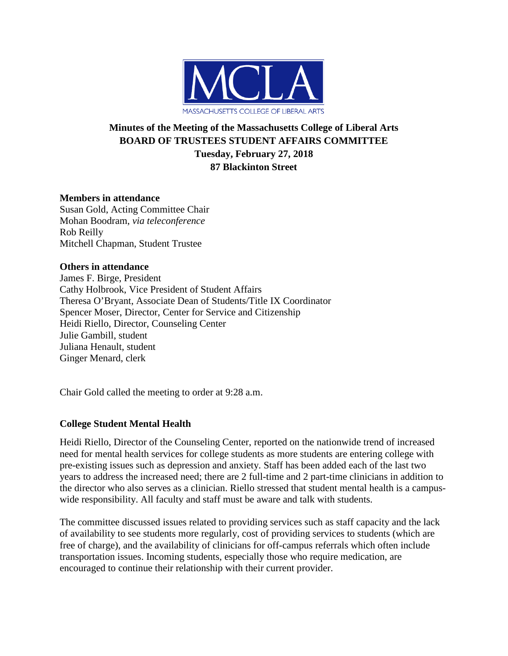

# **Minutes of the Meeting of the Massachusetts College of Liberal Arts BOARD OF TRUSTEES STUDENT AFFAIRS COMMITTEE Tuesday, February 27, 2018 87 Blackinton Street**

# **Members in attendance**

Susan Gold, Acting Committee Chair Mohan Boodram, *via teleconference* Rob Reilly Mitchell Chapman, Student Trustee

### **Others in attendance**

James F. Birge, President Cathy Holbrook, Vice President of Student Affairs Theresa O'Bryant, Associate Dean of Students/Title IX Coordinator Spencer Moser, Director, Center for Service and Citizenship Heidi Riello, Director, Counseling Center Julie Gambill, student Juliana Henault, student Ginger Menard, clerk

Chair Gold called the meeting to order at 9:28 a.m.

# **College Student Mental Health**

Heidi Riello, Director of the Counseling Center, reported on the nationwide trend of increased need for mental health services for college students as more students are entering college with pre-existing issues such as depression and anxiety. Staff has been added each of the last two years to address the increased need; there are 2 full-time and 2 part-time clinicians in addition to the director who also serves as a clinician. Riello stressed that student mental health is a campuswide responsibility. All faculty and staff must be aware and talk with students.

The committee discussed issues related to providing services such as staff capacity and the lack of availability to see students more regularly, cost of providing services to students (which are free of charge), and the availability of clinicians for off-campus referrals which often include transportation issues. Incoming students, especially those who require medication, are encouraged to continue their relationship with their current provider.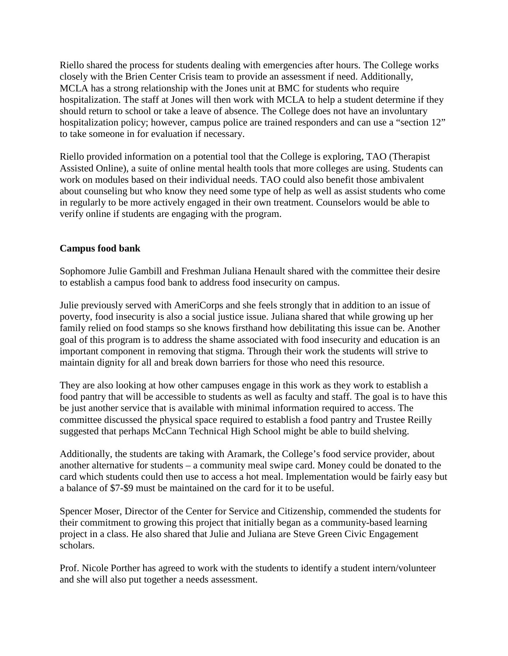Riello shared the process for students dealing with emergencies after hours. The College works closely with the Brien Center Crisis team to provide an assessment if need. Additionally, MCLA has a strong relationship with the Jones unit at BMC for students who require hospitalization. The staff at Jones will then work with MCLA to help a student determine if they should return to school or take a leave of absence. The College does not have an involuntary hospitalization policy; however, campus police are trained responders and can use a "section 12" to take someone in for evaluation if necessary.

Riello provided information on a potential tool that the College is exploring, TAO (Therapist Assisted Online), a suite of online mental health tools that more colleges are using. Students can work on modules based on their individual needs. TAO could also benefit those ambivalent about counseling but who know they need some type of help as well as assist students who come in regularly to be more actively engaged in their own treatment. Counselors would be able to verify online if students are engaging with the program.

# **Campus food bank**

Sophomore Julie Gambill and Freshman Juliana Henault shared with the committee their desire to establish a campus food bank to address food insecurity on campus.

Julie previously served with AmeriCorps and she feels strongly that in addition to an issue of poverty, food insecurity is also a social justice issue. Juliana shared that while growing up her family relied on food stamps so she knows firsthand how debilitating this issue can be. Another goal of this program is to address the shame associated with food insecurity and education is an important component in removing that stigma. Through their work the students will strive to maintain dignity for all and break down barriers for those who need this resource.

They are also looking at how other campuses engage in this work as they work to establish a food pantry that will be accessible to students as well as faculty and staff. The goal is to have this be just another service that is available with minimal information required to access. The committee discussed the physical space required to establish a food pantry and Trustee Reilly suggested that perhaps McCann Technical High School might be able to build shelving.

Additionally, the students are taking with Aramark, the College's food service provider, about another alternative for students – a community meal swipe card. Money could be donated to the card which students could then use to access a hot meal. Implementation would be fairly easy but a balance of \$7-\$9 must be maintained on the card for it to be useful.

Spencer Moser, Director of the Center for Service and Citizenship, commended the students for their commitment to growing this project that initially began as a community-based learning project in a class. He also shared that Julie and Juliana are Steve Green Civic Engagement scholars.

Prof. Nicole Porther has agreed to work with the students to identify a student intern/volunteer and she will also put together a needs assessment.